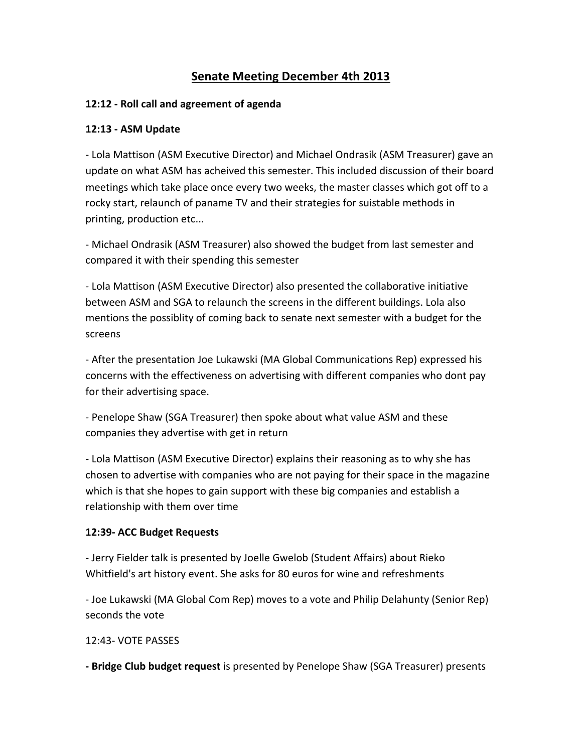# **Senate Meeting December 4th 2013**

#### **12:12 - Roll call and agreement of agenda**

#### **12:13 - ASM Update**

- Lola Mattison (ASM Executive Director) and Michael Ondrasik (ASM Treasurer) gave an update on what ASM has acheived this semester. This included discussion of their board meetings which take place once every two weeks, the master classes which got off to a rocky start, relaunch of paname TV and their strategies for suistable methods in printing, production etc...

- Michael Ondrasik (ASM Treasurer) also showed the budget from last semester and compared it with their spending this semester

- Lola Mattison (ASM Executive Director) also presented the collaborative initiative between ASM and SGA to relaunch the screens in the different buildings. Lola also mentions the possiblity of coming back to senate next semester with a budget for the screens 

- After the presentation Joe Lukawski (MA Global Communications Rep) expressed his concerns with the effectiveness on advertising with different companies who dont pay for their advertising space.

- Penelope Shaw (SGA Treasurer) then spoke about what value ASM and these companies they advertise with get in return

- Lola Mattison (ASM Executive Director) explains their reasoning as to why she has chosen to advertise with companies who are not paying for their space in the magazine which is that she hopes to gain support with these big companies and establish a relationship with them over time

#### **12:39- ACC Budget Requests**

- Jerry Fielder talk is presented by Joelle Gwelob (Student Affairs) about Rieko Whitfield's art history event. She asks for 80 euros for wine and refreshments

- Joe Lukawski (MA Global Com Rep) moves to a vote and Philip Delahunty (Senior Rep) seconds the vote

#### 12:43- VOTE PASSES

**- Bridge Club budget request** is presented by Penelope Shaw (SGA Treasurer) presents